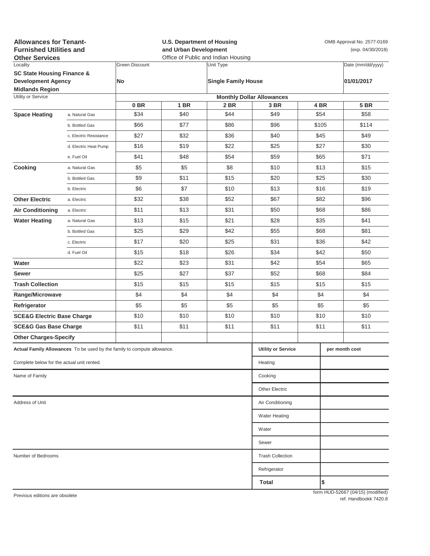| <b>Allowances for Tenant-</b><br><b>Furnished Utilities and</b><br><b>Other Services</b> |                           |                       | <b>U.S. Department of Housing</b><br>and Urban Development<br>Office of Public and Indian Housing |                            |                                          |      | OMB Approval No. 2577-0169<br>(exp. 04/30/2018) |                                   |  |
|------------------------------------------------------------------------------------------|---------------------------|-----------------------|---------------------------------------------------------------------------------------------------|----------------------------|------------------------------------------|------|-------------------------------------------------|-----------------------------------|--|
| Locality                                                                                 |                           | <b>Green Discount</b> |                                                                                                   | Unit Type                  |                                          |      |                                                 | Date (mm/dd/yyyy)                 |  |
| <b>SC State Housing Finance &amp;</b><br><b>Development Agency</b>                       |                           | No                    |                                                                                                   | <b>Single Family House</b> |                                          |      |                                                 | 01/01/2017                        |  |
| <b>Midlands Region</b>                                                                   |                           |                       |                                                                                                   |                            |                                          |      |                                                 |                                   |  |
| Utility or Service                                                                       |                           | 0 <sub>BR</sub>       | <b>1 BR</b>                                                                                       | 2 BR                       | <b>Monthly Dollar Allowances</b><br>3 BR |      | 4 BR                                            | <b>5 BR</b>                       |  |
| <b>Space Heating</b>                                                                     | a. Natural Gas            | \$34                  | \$40                                                                                              | \$44                       | \$49                                     |      | \$54                                            | \$58                              |  |
|                                                                                          | b. Bottled Gas            | \$66                  | \$77                                                                                              | \$86                       | \$96                                     |      | \$105                                           | \$114                             |  |
|                                                                                          | c. Electric Resistance    | \$27                  | \$32                                                                                              | \$36                       | \$40                                     | \$45 |                                                 | \$49                              |  |
|                                                                                          | d. Electric Heat Pump     | \$16                  | \$19                                                                                              | \$22                       | \$25                                     | \$27 |                                                 | \$30                              |  |
|                                                                                          | e. Fuel Oil               | \$41                  | \$48                                                                                              | \$54                       | \$59                                     | \$65 |                                                 | \$71                              |  |
| Cooking                                                                                  | a. Natural Gas            | \$5                   | \$5                                                                                               | \$8                        | \$10                                     |      | \$13                                            | \$15                              |  |
|                                                                                          | b. Bottled Gas            | \$9                   | \$11                                                                                              | \$15                       | \$20                                     | \$25 |                                                 | \$30                              |  |
|                                                                                          | b. Electric               | \$6                   | \$7                                                                                               | \$10                       | \$13                                     |      | \$16                                            | \$19                              |  |
| <b>Other Electric</b>                                                                    | a. Electric               | \$32                  | \$38                                                                                              | \$52                       | \$67                                     | \$82 |                                                 | \$96                              |  |
| <b>Air Conditioning</b>                                                                  | a. Electric               | \$11                  | \$13                                                                                              | \$31                       | \$50                                     | \$68 |                                                 | \$86                              |  |
| <b>Water Heating</b>                                                                     | a. Natural Gas            | \$13                  | \$15                                                                                              | \$21                       | \$28                                     | \$35 |                                                 | \$41                              |  |
|                                                                                          | b. Bottled Gas            | \$25                  | \$29                                                                                              | \$42                       | \$55                                     |      | \$68                                            | \$81                              |  |
|                                                                                          | c. Electric               | \$17                  | \$20                                                                                              | \$25                       | \$31                                     |      | \$36                                            | \$42                              |  |
|                                                                                          | d. Fuel Oil               | \$15                  | \$18                                                                                              | \$26                       | \$34                                     |      | \$42                                            | \$50                              |  |
| Water                                                                                    |                           | \$22                  | \$23                                                                                              | \$31                       | \$42                                     |      | \$54                                            | \$65                              |  |
| Sewer                                                                                    |                           | \$25                  | \$27                                                                                              | \$37                       | \$52                                     |      | \$68                                            | \$84                              |  |
| <b>Trash Collection</b>                                                                  |                           | \$15                  | \$15                                                                                              | \$15                       | \$15                                     |      | \$15                                            | \$15                              |  |
| Range/Microwave                                                                          |                           | \$4                   | \$4                                                                                               | \$4                        | \$4                                      | \$4  |                                                 | \$4                               |  |
| Refrigerator                                                                             |                           | \$5                   | \$5                                                                                               | \$5                        | \$5                                      | \$5  |                                                 | \$5                               |  |
| <b>SCE&amp;G Electric Base Charge</b>                                                    |                           | \$10                  | \$10                                                                                              | \$10                       | \$10                                     | \$10 |                                                 | \$10                              |  |
| <b>SCE&amp;G Gas Base Charge</b>                                                         |                           | \$11                  | \$11                                                                                              | \$11                       | \$11                                     |      | \$11                                            | \$11                              |  |
| <b>Other Charges-Specify</b>                                                             |                           |                       |                                                                                                   |                            |                                          |      |                                                 |                                   |  |
| Actual Family Allowances To be used by the family to compute allowance.                  | <b>Utility or Service</b> |                       |                                                                                                   | per month cost             |                                          |      |                                                 |                                   |  |
| Complete below for the actual unit rented.                                               |                           |                       |                                                                                                   |                            | Heating                                  |      |                                                 |                                   |  |
| Name of Family                                                                           |                           |                       |                                                                                                   |                            | Cooking                                  |      |                                                 |                                   |  |
|                                                                                          |                           |                       |                                                                                                   |                            | <b>Other Electric</b>                    |      |                                                 |                                   |  |
| Address of Unit                                                                          | Air Conditioning          |                       |                                                                                                   |                            |                                          |      |                                                 |                                   |  |
|                                                                                          |                           |                       |                                                                                                   |                            | <b>Water Heating</b>                     |      |                                                 |                                   |  |
|                                                                                          |                           |                       |                                                                                                   |                            | Water                                    |      |                                                 |                                   |  |
|                                                                                          |                           |                       |                                                                                                   |                            | Sewer                                    |      |                                                 |                                   |  |
| Number of Bedrooms                                                                       | <b>Trash Collection</b>   |                       |                                                                                                   |                            |                                          |      |                                                 |                                   |  |
|                                                                                          |                           |                       |                                                                                                   |                            | Refrigerator                             |      |                                                 |                                   |  |
|                                                                                          |                           |                       |                                                                                                   |                            | Total                                    |      | l\$                                             |                                   |  |
| Previous editions are obsolete                                                           |                           |                       |                                                                                                   |                            |                                          |      |                                                 | form HUD-52667 (04/15) (modified) |  |